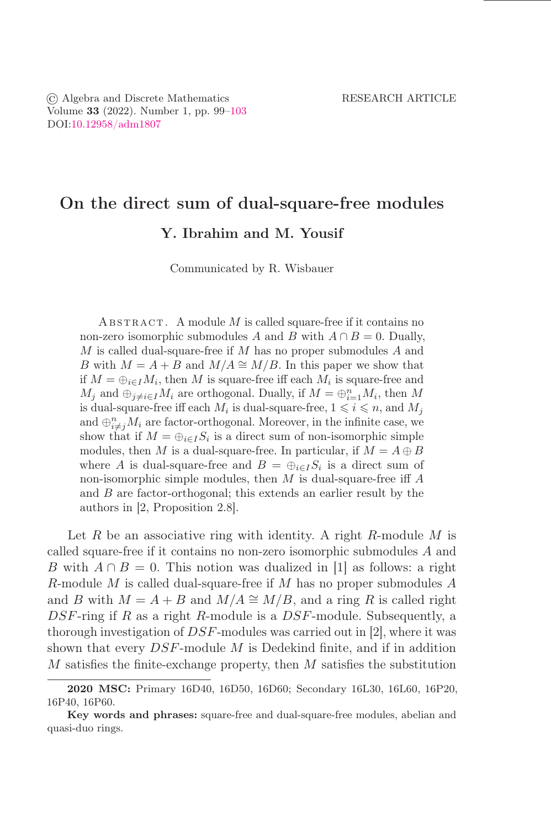# On the direct sum of dual-square-free modules

Y. Ibrahim and M. Yousif

Communicated by R. Wisbauer

ABSTRACT. A module  $M$  is called square-free if it contains no non-zero isomorphic submodules A and B with  $A \cap B = 0$ . Dually, M is called dual-square-free if M has no proper submodules A and B with  $M = A + B$  and  $M/A \cong M/B$ . In this paper we show that if  $M = \bigoplus_{i \in I} M_i$ , then M is square-free iff each  $M_i$  is square-free and  $M_j$  and  $\oplus_{j\neq i\in I} M_i$  are orthogonal. Dually, if  $M=\oplus_{i=1}^n M_i$ , then M is dual-square-free iff each  $M_i$  is dual-square-free,  $1 \leq i \leq n$ , and  $M_j$ and  $\oplus_{i\neq j}^n M_i$  are factor-orthogonal. Moreover, in the infinite case, we show that if  $M = \bigoplus_{i \in I} S_i$  is a direct sum of non-isomorphic simple modules, then M is a dual-square-free. In particular, if  $M = A \oplus B$ where A is dual-square-free and  $B = \bigoplus_{i \in I} S_i$  is a direct sum of non-isomorphic simple modules, then  $M$  is dual-square-free iff  $A$ and B are factor-orthogonal; this extends an earlier result by the authors in [2, Proposition 2.8].

Let R be an associative ring with identity. A right R-module M is called square-free if it contains no non-zero isomorphic submodules A and B with  $A \cap B = 0$ . This notion was dualized in [1] as follows: a right R-module M is called dual-square-free if M has no proper submodules  $A$ and B with  $M = A + B$  and  $M/A \cong M/B$ , and a ring R is called right  $DSF$ -ring if R as a right R-module is a  $DSF$ -module. Subsequently, a thorough investigation of DSF-modules was carried out in [2], where it was shown that every  $DSF$ -module  $M$  is Dedekind finite, and if in addition  $M$  satisfies the finite-exchange property, then  $M$  satisfies the substitution

<sup>2020</sup> MSC: Primary 16D40, 16D50, 16D60; Secondary 16L30, 16L60, 16P20, 16P40, 16P60.

Key words and phrases: square-free and dual-square-free modules, abelian and quasi-duo rings.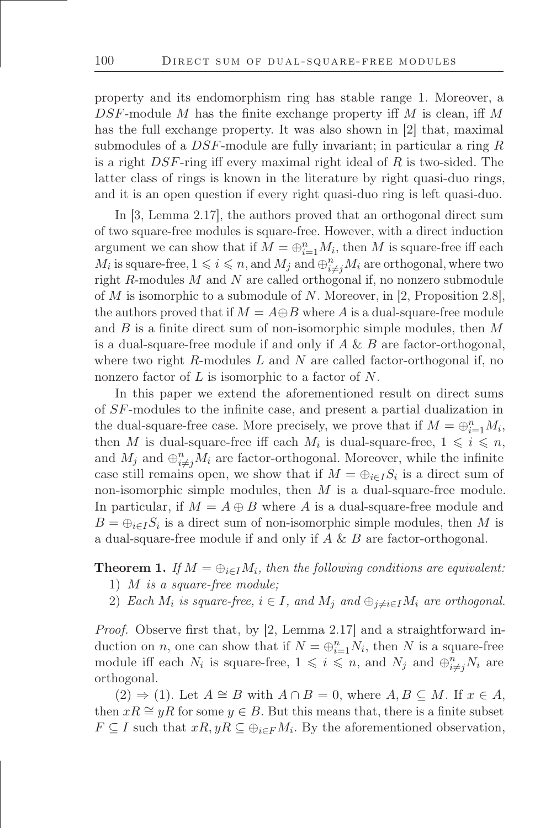property and its endomorphism ring has stable range 1. Moreover, a  $DSF$ -module M has the finite exchange property iff M is clean, iff M has the full exchange property. It was also shown in [2] that, maximal submodules of a  $DSF$ -module are fully invariant; in particular a ring  $R$ is a right DSF-ring iff every maximal right ideal of R is two-sided. The latter class of rings is known in the literature by right quasi-duo rings, and it is an open question if every right quasi-duo ring is left quasi-duo.

In [3, Lemma 2.17], the authors proved that an orthogonal direct sum of two square-free modules is square-free. However, with a direct induction argument we can show that if  $M = \bigoplus_{i=1}^{n} M_i$ , then M is square-free iff each  $M_i$  is square-free,  $1 \leqslant i \leqslant n$ , and  $M_j$  and  $\bigoplus_{i \neq j}^n M_i$  are orthogonal, where two right R-modules M and N are called orthogonal if, no nonzero submodule of M is isomorphic to a submodule of N. Moreover, in [2, Proposition 2.8], the authors proved that if  $M = A \oplus B$  where A is a dual-square-free module and  $B$  is a finite direct sum of non-isomorphic simple modules, then  $M$ is a dual-square-free module if and only if  $A \& B$  are factor-orthogonal, where two right R-modules  $L$  and  $N$  are called factor-orthogonal if, no nonzero factor of L is isomorphic to a factor of N.

In this paper we extend the aforementioned result on direct sums of SF-modules to the inőnite case, and present a partial dualization in the dual-square-free case. More precisely, we prove that if  $M = \bigoplus_{i=1}^{n} M_i$ , then M is dual-square-free iff each  $M_i$  is dual-square-free,  $1 \leqslant i \leqslant n$ , and  $M_j$  and  $\bigoplus_{i \neq j}^n M_i$  are factor-orthogonal. Moreover, while the infinite case still remains open, we show that if  $M = \bigoplus_{i \in I} S_i$  is a direct sum of non-isomorphic simple modules, then  $M$  is a dual-square-free module. In particular, if  $M = A \oplus B$  where A is a dual-square-free module and  $B = \bigoplus_{i \in I} S_i$  is a direct sum of non-isomorphic simple modules, then M is a dual-square-free module if and only if A & B are factor-orthogonal.

## **Theorem 1.** *If*  $M = \bigoplus_{i \in I} M_i$ , then the following conditions are equivalent:

- 1) M *is a square-free module;*
- 2) *Each*  $M_i$  *is square-free,*  $i \in I$ *, and*  $M_j$  *and*  $\bigoplus_{j \neq i \in I} M_i$  *are orthogonal.*

*Proof.* Observe first that, by [2, Lemma 2.17] and a straightforward induction on *n*, one can show that if  $N = \bigoplus_{i=1}^{n} N_i$ , then N is a square-free module iff each  $N_i$  is square-free,  $1 \leqslant i \leqslant n$ , and  $N_j$  and  $\bigoplus_{i \neq j}^n N_i$  are orthogonal.

 $(2) \Rightarrow (1)$ . Let  $A \cong B$  with  $A \cap B = 0$ , where  $A, B \subseteq M$ . If  $x \in A$ , then  $xR \cong yR$  for some  $y \in B$ . But this means that, there is a finite subset  $F \subseteq I$  such that  $xR, yR \subseteq \bigoplus_{i \in F} M_i$ . By the aforementioned observation,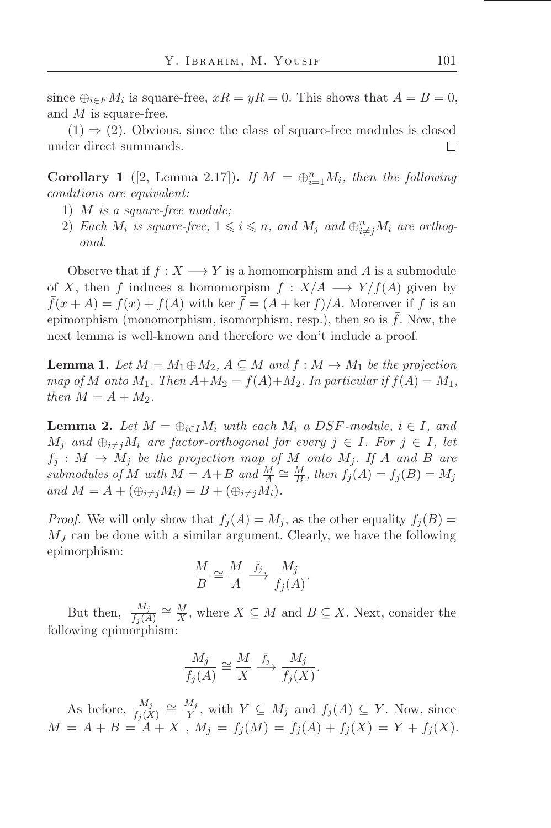since  $\bigoplus_{i\in F}M_i$  is square-free,  $xR = yR = 0$ . This shows that  $A = B = 0$ , and M is square-free.

 $(1) \Rightarrow (2)$ . Obvious, since the class of square-free modules is closed under direct summands.  $\Box$ 

**Corollary 1** ([2, Lemma 2.17]). *If*  $M = \bigoplus_{i=1}^{n} M_i$ , then the following *conditions are equivalent:*

- 1) M *is a square-free module;*
- 2) Each  $M_i$  is square-free,  $1 \leqslant i \leqslant n$ , and  $M_j$  and  $\bigoplus_{i \neq j}^n M_i$  are orthog*onal.*

Observe that if  $f: X \longrightarrow Y$  is a homomorphism and A is a submodule of X, then f induces a homomorpism  $f: X/A \longrightarrow Y/f(A)$  given by  $\bar{f}(x + A) = f(x) + f(A)$  with ker  $\bar{f} = (A + \ker f)/A$ . Moreover if f is an epimorphism (monomorphism, isomorphism, resp.), then so is  $\bar{f}$ . Now, the next lemma is well-known and therefore we don't include a proof.

<span id="page-2-0"></span>**Lemma 1.** Let  $M = M_1 \oplus M_2$ ,  $A \subseteq M$  and  $f : M \rightarrow M_1$  be the projection *map of*  $M$  *onto*  $M_1$ *. Then*  $A + M_2 = f(A) + M_2$ *. In particular if*  $f(A) = M_1$ *, then*  $M = A + M_2$ *.* 

<span id="page-2-1"></span>**Lemma 2.** Let  $M = \bigoplus_{i \in I} M_i$  with each  $M_i$  a DSF-module,  $i \in I$ , and  $M_j$  and  $\bigoplus_{i\neq j} M_i$  are factor-orthogonal for every  $j \in I$ *. For*  $j \in I$ *, let*  $f_j : M \to M_j$  be the projection map of M onto  $M_j$ . If A and B are *submodules of*  $M$  *with*  $\overline{M} = A + B$  *and*  $\frac{M}{A} \cong \frac{M}{B}$  $\frac{M}{B}$ , then  $f_j(A) = f_j(B) = M_j$ *and*  $M = A + (\bigoplus_{i \neq j} M_i) = B + (\bigoplus_{i \neq j} M_i)$ .

*Proof.* We will only show that  $f_i(A) = M_i$ , as the other equality  $f_i(B)$  $M_J$  can be done with a similar argument. Clearly, we have the following epimorphism:

$$
\frac{M}{B} \cong \frac{M}{A} \xrightarrow{\bar{f}_j} \frac{M_j}{f_j(A)}.
$$

But then,  $\frac{M_j}{f_j(A)} \cong \frac{M}{X}$  $\frac{M}{X}$ , where  $X \subseteq M$  and  $B \subseteq X$ . Next, consider the following epimorphism:

$$
\frac{M_j}{f_j(A)} \cong \frac{M}{X} \xrightarrow{\bar{f}_j} \frac{M_j}{f_j(X)}.
$$

As before,  $\frac{M_j}{f_j(X)} \cong \frac{M_j}{Y}$  $\frac{W_j}{Y}$ , with  $Y \subseteq M_j$  and  $f_j(A) \subseteq Y$ . Now, since  $M = A + B = A + X$ ,  $M_j = f_j(M) = f_j(A) + f_j(X) = Y + f_j(X)$ .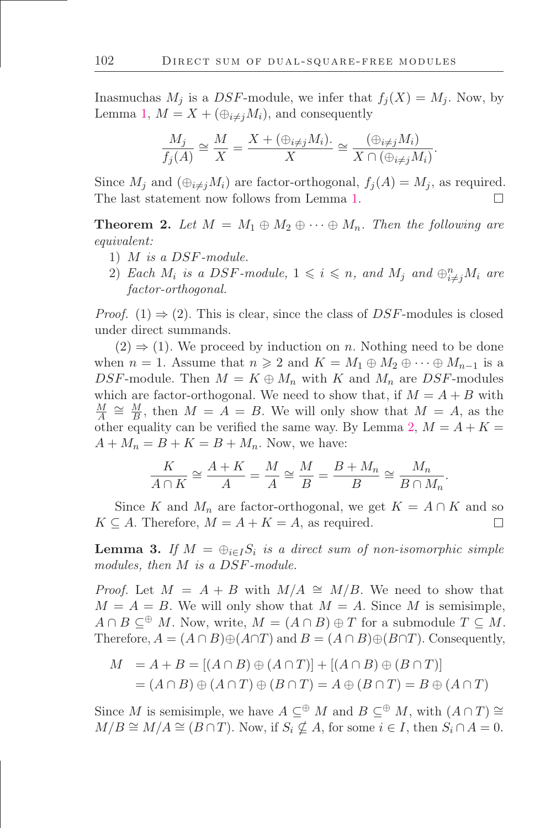Inasmuchas  $M_j$  is a DSF-module, we infer that  $f_j(X) = M_j$ . Now, by Lemma [1,](#page-2-0)  $M = X + (\bigoplus_{i \neq j} M_i)$ , and consequently

$$
\frac{M_j}{f_j(A)} \cong \frac{M}{X} = \frac{X + (\bigoplus_{i \neq j} M_i)}{X} \cong \frac{(\bigoplus_{i \neq j} M_i)}{X \cap (\bigoplus_{i \neq j} M_i)}.
$$

Since  $M_j$  and  $(\bigoplus_{i \neq j} M_i)$  are factor-orthogonal,  $f_j(A) = M_j$ , as required. The last statement now follows from Lemma [1.](#page-2-0)  $\Box$ 

<span id="page-3-0"></span>**Theorem 2.** Let  $M = M_1 \oplus M_2 \oplus \cdots \oplus M_n$ . Then the following are *equivalent:*

- 1) M *is a* DSF*-module.*
- 2) *Each*  $M_i$  *is a DSF-module,*  $1 \leq i \leq n$ *, and*  $M_j$  *and*  $\bigoplus_{i \neq j}^n M_i$  *are factor-orthogonal.*

*Proof.* (1)  $\Rightarrow$  (2). This is clear, since the class of DSF-modules is closed under direct summands.

 $(2) \Rightarrow (1)$ . We proceed by induction on *n*. Nothing need to be done when  $n = 1$ . Assume that  $n \geq 2$  and  $K = M_1 \oplus M_2 \oplus \cdots \oplus M_{n-1}$  is a DSF-module. Then  $M = K \oplus M_n$  with K and  $M_n$  are DSF-modules which are factor-orthogonal. We need to show that, if  $M = A + B$  with  $\overline{M}$  $\frac{M}{A} \cong \frac{M}{B}$  $\frac{M}{B}$ , then  $M = A = B$ . We will only show that  $M = A$ , as the other equality can be verified the same way. By Lemma [2,](#page-2-1)  $M = A + K =$  $A + M_n = B + K = B + M_n$ . Now, we have:

$$
\frac{K}{A \cap K} \cong \frac{A + K}{A} = \frac{M}{A} \cong \frac{M}{B} = \frac{B + M_n}{B} \cong \frac{M_n}{B \cap M_n}.
$$

Since K and  $M_n$  are factor-orthogonal, we get  $K = A \cap K$  and so  $K \subseteq A$ . Therefore,  $M = A + K = A$ , as required.  $\Box$ 

<span id="page-3-1"></span>**Lemma 3.** If  $M = \bigoplus_{i \in I} S_i$  is a direct sum of non-isomorphic simple *modules, then* M *is a* DSF*-module.*

*Proof.* Let  $M = A + B$  with  $M/A \cong M/B$ . We need to show that  $M = A = B$ . We will only show that  $M = A$ . Since M is semisimple,  $A \cap B \subseteq^{\oplus} M$ . Now, write,  $M = (A \cap B) \oplus T$  for a submodule  $T \subseteq M$ . Therefore,  $A = (A \cap B) \oplus (A \cap T)$  and  $B = (A \cap B) \oplus (B \cap T)$ . Consequently,

$$
M = A + B = [(A \cap B) \oplus (A \cap T)] + [(A \cap B) \oplus (B \cap T)]
$$
  
=  $(A \cap B) \oplus (A \cap T) \oplus (B \cap T) = A \oplus (B \cap T) = B \oplus (A \cap T)$ 

Since M is semisimple, we have  $A \subseteq^{\oplus} M$  and  $B \subseteq^{\oplus} M$ , with  $(A \cap T) \cong$  $M/B \cong M/A \cong (B \cap T)$ . Now, if  $S_i \nsubseteq A$ , for some  $i \in I$ , then  $S_i \cap A = 0$ .